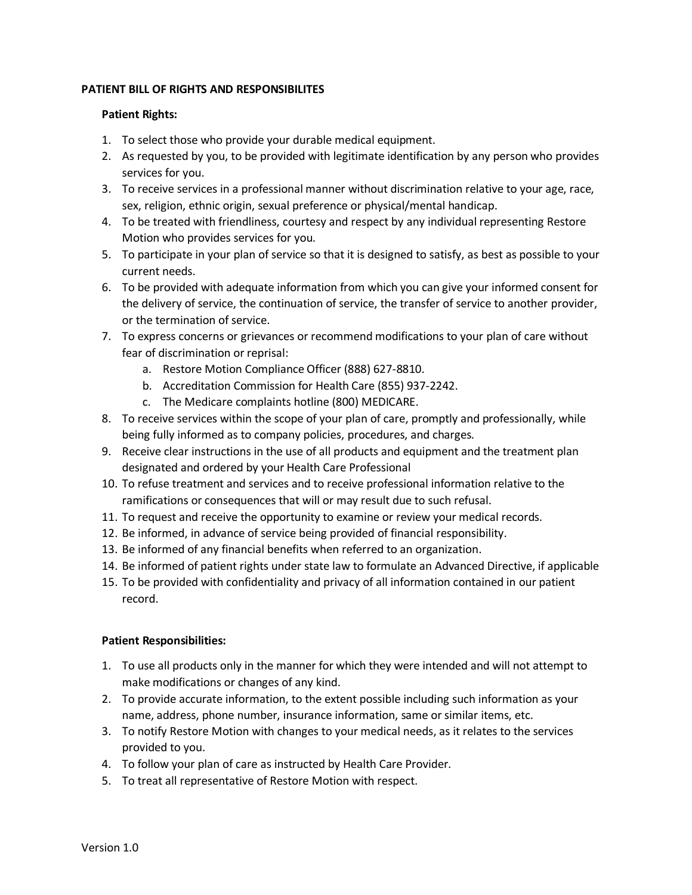## **PATIENT BILL OF RIGHTS AND RESPONSIBILITES**

## **Patient Rights:**

- 1. To select those who provide your durable medical equipment.
- 2. As requested by you, to be provided with legitimate identification by any person who provides services for you.
- 3. To receive services in a professional manner without discrimination relative to your age, race, sex, religion, ethnic origin, sexual preference or physical/mental handicap.
- 4. To be treated with friendliness, courtesy and respect by any individual representing Restore Motion who provides services for you.
- 5. To participate in your plan of service so that it is designed to satisfy, as best as possible to your current needs.
- 6. To be provided with adequate information from which you can give your informed consent for the delivery of service, the continuation of service, the transfer of service to another provider, or the termination of service.
- 7. To express concerns or grievances or recommend modifications to your plan of care without fear of discrimination or reprisal:
	- a. Restore Motion Compliance Officer (888) 627-8810.
	- b. Accreditation Commission for Health Care (855) 937-2242.
	- c. The Medicare complaints hotline (800) MEDICARE.
- 8. To receive services within the scope of your plan of care, promptly and professionally, while being fully informed as to company policies, procedures, and charges.
- 9. Receive clear instructions in the use of all products and equipment and the treatment plan designated and ordered by your Health Care Professional
- 10. To refuse treatment and services and to receive professional information relative to the ramifications or consequences that will or may result due to such refusal.
- 11. To request and receive the opportunity to examine or review your medical records.
- 12. Be informed, in advance of service being provided of financial responsibility.
- 13. Be informed of any financial benefits when referred to an organization.
- 14. Be informed of patient rights under state law to formulate an Advanced Directive, if applicable
- 15. To be provided with confidentiality and privacy of all information contained in our patient record.

## **Patient Responsibilities:**

- 1. To use all products only in the manner for which they were intended and will not attempt to make modifications or changes of any kind.
- 2. To provide accurate information, to the extent possible including such information as your name, address, phone number, insurance information, same or similar items, etc.
- 3. To notify Restore Motion with changes to your medical needs, as it relates to the services provided to you.
- 4. To follow your plan of care as instructed by Health Care Provider.
- 5. To treat all representative of Restore Motion with respect.